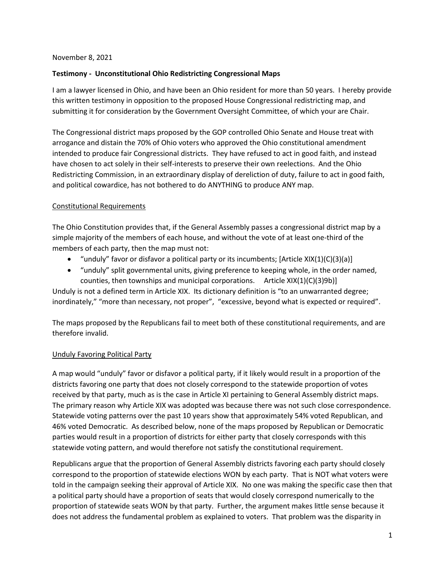#### November 8, 2021

### **Testimony - Unconstitutional Ohio Redistricting Congressional Maps**

I am a lawyer licensed in Ohio, and have been an Ohio resident for more than 50 years. I hereby provide this written testimony in opposition to the proposed House Congressional redistricting map, and submitting it for consideration by the Government Oversight Committee, of which your are Chair.

The Congressional district maps proposed by the GOP controlled Ohio Senate and House treat with arrogance and distain the 70% of Ohio voters who approved the Ohio constitutional amendment intended to produce fair Congressional districts. They have refused to act in good faith, and instead have chosen to act solely in their self-interests to preserve their own reelections. And the Ohio Redistricting Commission, in an extraordinary display of dereliction of duty, failure to act in good faith, and political cowardice, has not bothered to do ANYTHING to produce ANY map.

#### Constitutional Requirements

The Ohio Constitution provides that, if the General Assembly passes a congressional district map by a simple majority of the members of each house, and without the vote of at least one-third of the members of each party, then the map must not:

- "unduly" favor or disfavor a political party or its incumbents; [Article XIX(1)(C)(3)(a)]
- "unduly" split governmental units, giving preference to keeping whole, in the order named, counties, then townships and municipal corporations. Article XIX(1)(C)(3)9b)]

Unduly is not a defined term in Article XIX. Its dictionary definition is "to an unwarranted degree; inordinately," "more than necessary, not proper", "excessive, beyond what is expected or required".

The maps proposed by the Republicans fail to meet both of these constitutional requirements, and are therefore invalid.

## Unduly Favoring Political Party

A map would "unduly" favor or disfavor a political party, if it likely would result in a proportion of the districts favoring one party that does not closely correspond to the statewide proportion of votes received by that party, much as is the case in Article XI pertaining to General Assembly district maps. The primary reason why Article XIX was adopted was because there was not such close correspondence. Statewide voting patterns over the past 10 years show that approximately 54% voted Republican, and 46% voted Democratic. As described below, none of the maps proposed by Republican or Democratic parties would result in a proportion of districts for either party that closely corresponds with this statewide voting pattern, and would therefore not satisfy the constitutional requirement.

Republicans argue that the proportion of General Assembly districts favoring each party should closely correspond to the proportion of statewide elections WON by each party. That is NOT what voters were told in the campaign seeking their approval of Article XIX. No one was making the specific case then that a political party should have a proportion of seats that would closely correspond numerically to the proportion of statewide seats WON by that party. Further, the argument makes little sense because it does not address the fundamental problem as explained to voters. That problem was the disparity in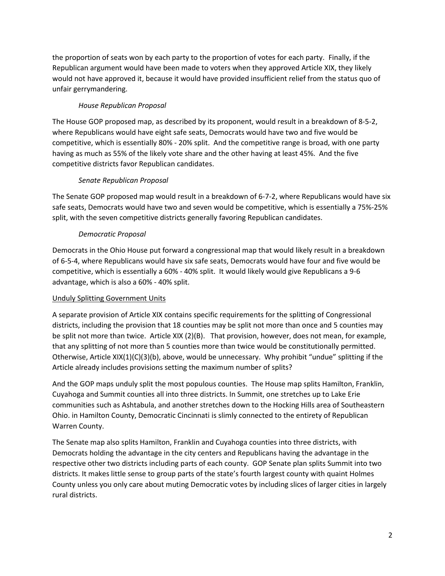the proportion of seats won by each party to the proportion of votes for each party. Finally, if the Republican argument would have been made to voters when they approved Article XIX, they likely would not have approved it, because it would have provided insufficient relief from the status quo of unfair gerrymandering.

# *House Republican Proposal*

The House GOP proposed map, as described by its proponent, would result in a breakdown of 8-5-2, where Republicans would have eight safe seats, Democrats would have two and five would be competitive, which is essentially 80% - 20% split. And the competitive range is broad, with one party having as much as 55% of the likely vote share and the other having at least 45%. And the five competitive districts favor Republican candidates.

# *Senate Republican Proposal*

The Senate GOP proposed map would result in a breakdown of 6-7-2, where Republicans would have six safe seats, Democrats would have two and seven would be competitive, which is essentially a 75%-25% split, with the seven competitive districts generally favoring Republican candidates.

# *Democratic Proposal*

Democrats in the Ohio House put forward a congressional map that would likely result in a breakdown of 6-5-4, where Republicans would have six safe seats, Democrats would have four and five would be competitive, which is essentially a 60% - 40% split. It would likely would give Republicans a 9-6 advantage, which is also a 60% - 40% split.

## Unduly Splitting Government Units

A separate provision of Article XIX contains specific requirements for the splitting of Congressional districts, including the provision that 18 counties may be split not more than once and 5 counties may be split not more than twice. Article XIX (2)(B). That provision, however, does not mean, for example, that any splitting of not more than 5 counties more than twice would be constitutionally permitted. Otherwise, Article XIX(1)(C)(3)(b), above, would be unnecessary. Why prohibit "undue" splitting if the Article already includes provisions setting the maximum number of splits?

And the GOP maps unduly split the most populous counties. The House map splits Hamilton, Franklin, Cuyahoga and Summit counties all into three districts. In Summit, one stretches up to Lake Erie communities such as Ashtabula, and another stretches down to the Hocking Hills area of Southeastern Ohio. in Hamilton County, Democratic Cincinnati is slimly connected to the entirety of Republican Warren County.

The Senate map also splits Hamilton, Franklin and Cuyahoga counties into three districts, with Democrats holding the advantage in the city centers and Republicans having the advantage in the respective other two districts including parts of each county. GOP Senate plan splits Summit into two districts. It makes little sense to group parts of the state's fourth largest county with quaint Holmes County unless you only care about muting Democratic votes by including slices of larger cities in largely rural districts.